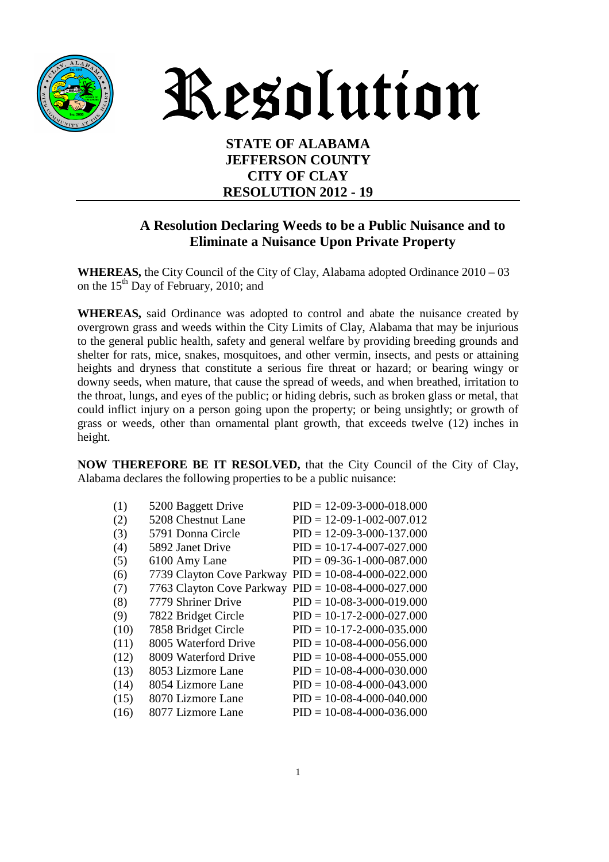

# Resolution

**STATE OF ALABAMA JEFFERSON COUNTY CITY OF CLAY RESOLUTION 2012 - 19** 

#### **A Resolution Declaring Weeds to be a Public Nuisance and to Eliminate a Nuisance Upon Private Property**

**WHEREAS,** the City Council of the City of Clay, Alabama adopted Ordinance 2010 – 03 on the  $15<sup>th</sup>$  Day of February, 2010; and

**WHEREAS,** said Ordinance was adopted to control and abate the nuisance created by overgrown grass and weeds within the City Limits of Clay, Alabama that may be injurious to the general public health, safety and general welfare by providing breeding grounds and shelter for rats, mice, snakes, mosquitoes, and other vermin, insects, and pests or attaining heights and dryness that constitute a serious fire threat or hazard; or bearing wingy or downy seeds, when mature, that cause the spread of weeds, and when breathed, irritation to the throat, lungs, and eyes of the public; or hiding debris, such as broken glass or metal, that could inflict injury on a person going upon the property; or being unsightly; or growth of grass or weeds, other than ornamental plant growth, that exceeds twelve (12) inches in height.

**NOW THEREFORE BE IT RESOLVED,** that the City Council of the City of Clay, Alabama declares the following properties to be a public nuisance:

| (1)  | 5200 Baggett Drive                                    | $PID = 12-09-3-000-018.000$ |
|------|-------------------------------------------------------|-----------------------------|
| (2)  | 5208 Chestnut Lane                                    | $PID = 12-09-1-002-007.012$ |
| (3)  | 5791 Donna Circle                                     | $PID = 12-09-3-000-137.000$ |
| (4)  | 5892 Janet Drive                                      | $PID = 10-17-4-007-027.000$ |
| (5)  | 6100 Amy Lane                                         | $PID = 09-36-1-000-087.000$ |
| (6)  | 7739 Clayton Cove Parkway                             | $PID = 10-08-4-000-022.000$ |
| (7)  | 7763 Clayton Cove Parkway PID = $10-08-4-000-027.000$ |                             |
| (8)  | 7779 Shriner Drive                                    | $PID = 10-08-3-000-019.000$ |
| (9)  | 7822 Bridget Circle                                   | $PID = 10-17-2-000-027.000$ |
| (10) | 7858 Bridget Circle                                   | $PID = 10-17-2-000-035.000$ |
| (11) | 8005 Waterford Drive                                  | $PID = 10-08-4-000-056.000$ |
| (12) | 8009 Waterford Drive                                  | $PID = 10-08-4-000-055.000$ |
| (13) | 8053 Lizmore Lane                                     | $PID = 10-08-4-000-030.000$ |
| (14) | 8054 Lizmore Lane                                     | $PID = 10-08-4-000-043.000$ |
| (15) | 8070 Lizmore Lane                                     | $PID = 10-08-4-000-040.000$ |
| (16) | 8077 Lizmore Lane                                     | $PID = 10-08-4-000-036.000$ |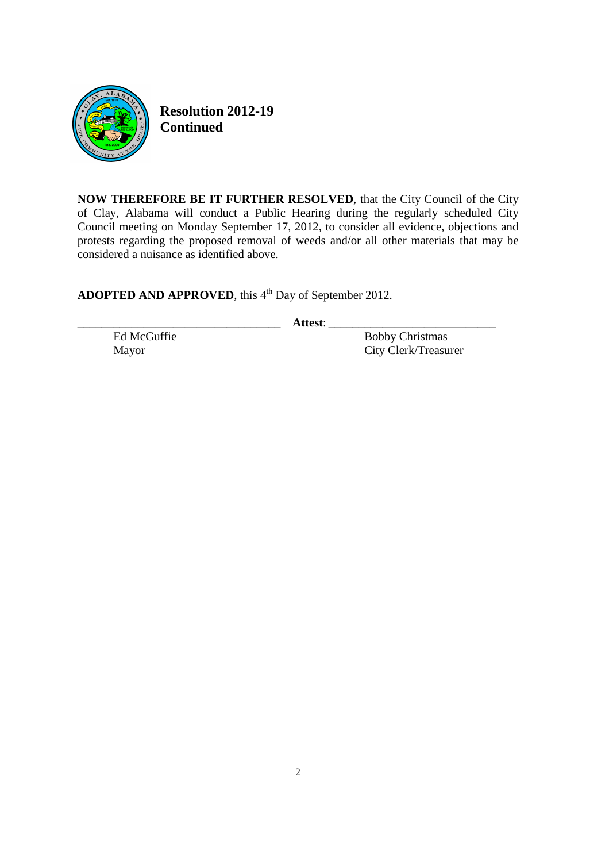

**Resolution 2012-19 Continued** 

**NOW THEREFORE BE IT FURTHER RESOLVED**, that the City Council of the City of Clay, Alabama will conduct a Public Hearing during the regularly scheduled City Council meeting on Monday September 17, 2012, to consider all evidence, objections and protests regarding the proposed removal of weeds and/or all other materials that may be considered a nuisance as identified above.

ADOPTED AND APPROVED, this 4<sup>th</sup> Day of September 2012.

\_\_\_\_\_\_\_\_\_\_\_\_\_\_\_\_\_\_\_\_\_\_\_\_\_\_\_\_\_\_\_\_\_\_ **Attest**: \_\_\_\_\_\_\_\_\_\_\_\_\_\_\_\_\_\_\_\_\_\_\_\_\_\_\_\_

Ed McGuffie **Bobby Christmas** Mayor City Clerk/Treasurer